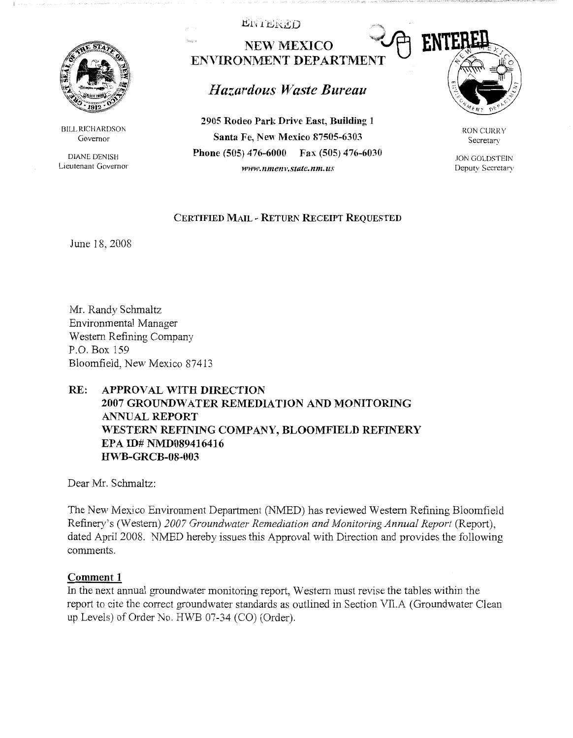

BILL RICHARDSON Governor

DIANE DENISH Lieutenant Governor .t!,;1", *<sup>1</sup>*bhitD .,

NEW MEXICO **WATERLY ENVIRONMENT DEPARTMENT** 

# *Hazardous U*7*aste Bureau* ·.2.. *):::* ··c. . *,/:*

**2905 Rodeo Park Drive East, Building 1 Santa Fe, New Mexico 87505-6303 Phone (505) 476-6000 Fax (505) 476-6030**  *www.nmenv.statc.nm.us* 



RON CURRY Secretary

JON GOLDSTEIN Deputy Secretary

### **CERTIFIED MAIL** - **RETURN RECEIPT REQUESTED**

June 18, 2008

Mr. Randy Schmaltz Environmental Manager W estem Refining Company P.O. Box 159 Bloomfield, New Mexico 87413

## **RE: APPROVAL WITH DIRECTION 2007 GROUNDWATER REMEDIATION AND MONITORING ANNUAL REPORT \\7 ESTERN REFINING COMPANY, BLOOMFIELD REFINERY EPA ID# NMD089416416 HWB-GRCB-08-003**

Dear Mr. Schmaltz:

The New Mexico Environment Department (NMED) has reviewed Western Refining Bloomfield Refinery's (Western) 2007 Groundwater Remediation and Monitoring Annual Report (Report), dated April 2008. NMED hereby issues this Approval with Direction and provides the following comments.

## **Comment 1**

In the next annual groundwater monitoring report, Western must revise the tables within the report to cite the correct groundwater standards as outlined in Section VII.A (Groundwater Clean up Levels) of Order No. HWB 07-34 (CO) (Order).